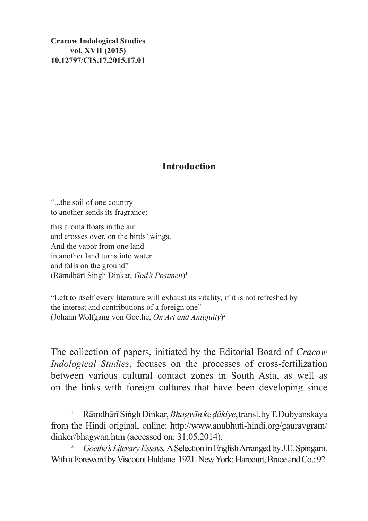**Cracow Indological Studies vol. XVII (2015) 10.12797/CIS.17.2015.17.01**

## **Introduction**

"...the soil of one country to another sends its fragrance:

this aroma floats in the air and crosses over, on the birds' wings. And the vapor from one land in another land turns into water and falls on the ground" (Rāmdhārī Siṅgh Diṅkar, *God's Postmen*)1

"Left to itself every literature will exhaust its vitality, if it is not refreshed by the interest and contributions of a foreign one" (Johann Wolfgang von Goethe, *On Art and Antiquity*) 2

The collection of papers, initiated by the Editorial Board of *Cracow Indological Studies*, focuses on the processes of cross-fertilization between various cultural contact zones in South Asia, as well as on the links with foreign cultures that have been developing since

<sup>1</sup> RāmdhārīSiṅghDiṅkar,*Bhagvānkeḍākiye*, transl. byT. Dubyanskaya from the Hindi original, online: http://www.anubhuti-hindi.org/gauravgram/ dinker/bhagwan.htm (accessed on: 31.05.2014).<br><sup>2</sup> *Goethe's Literary Essays.* A Selection in English Arranged by J.E. Spingarn.

With a Foreword by Viscount Haldane. 1921. New York: Harcourt, Brace and Co.: 92.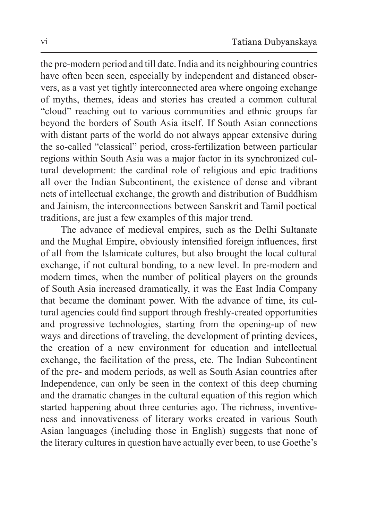the pre-modern period and till date. India and its neighbouring countries have often been seen, especially by independent and distanced observers, as a vast yet tightly interconnected area where ongoing exchange of myths, themes, ideas and stories has created a common cultural "cloud" reaching out to various communities and ethnic groups far beyond the borders of South Asia itself. If South Asian connections with distant parts of the world do not always appear extensive during the so-called "classical" period, cross-fertilization between particular regions within South Asia was a major factor in its synchronized cultural development: the cardinal role of religious and epic traditions all over the Indian Subcontinent, the existence of dense and vibrant nets of intellectual exchange, the growth and distribution of Buddhism and Jainism, the interconnections between Sanskrit and Tamil poetical traditions, are just a few examples of this major trend.

The advance of medieval empires, such as the Delhi Sultanate and the Mughal Empire, obviously intensified foreign influences, first of all from the Islamicate cultures, but also brought the local cultural exchange, if not cultural bonding, to a new level. In pre-modern and modern times, when the number of political players on the grounds of South Asia increased dramatically, it was the East India Company that became the dominant power. With the advance of time, its cultural agencies could find support through freshly-created opportunities and progressive technologies, starting from the opening-up of new ways and directions of traveling, the development of printing devices, the creation of a new environment for education and intellectual exchange, the facilitation of the press, etc. The Indian Subcontinent of the pre- and modern periods, as well as South Asian countries after Independence, can only be seen in the context of this deep churning and the dramatic changes in the cultural equation of this region which started happening about three centuries ago. The richness, inventiveness and innovativeness of literary works created in various South Asian languages (including those in English) suggests that none of the literary cultures in question have actually ever been, to use Goethe's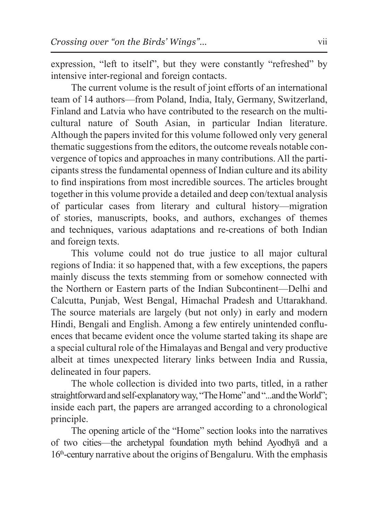expression, "left to itself", but they were constantly "refreshed" by intensive inter-regional and foreign contacts.

The current volume is the result of joint efforts of an international team of 14 authors—from Poland, India, Italy, Germany, Switzerland, Finland and Latvia who have contributed to the research on the multicultural nature of South Asian, in particular Indian literature. Although the papers invited for this volume followed only very general thematic suggestions from the editors, the outcome reveals notable convergence of topics and approaches in many contributions. All the participants stress the fundamental openness of Indian culture and its ability to find inspirations from most incredible sources. The articles brought together in this volume provide a detailed and deep con/textual analysis of particular cases from literary and cultural history—migration of stories, manuscripts, books, and authors, exchanges of themes and techniques, various adaptations and re-creations of both Indian and foreign texts.

This volume could not do true justice to all major cultural regions of India: it so happened that, with a few exceptions, the papers mainly discuss the texts stemming from or somehow connected with the Northern or Eastern parts of the Indian Subcontinent—Delhi and Calcutta, Punjab, West Bengal, Himachal Pradesh and Uttarakhand. The source materials are largely (but not only) in early and modern Hindi, Bengali and English. Among a few entirely unintended confluences that became evident once the volume started taking its shape are a special cultural role of the Himalayas and Bengal and very productive albeit at times unexpected literary links between India and Russia, delineated in four papers.

The whole collection is divided into two parts, titled, in a rather straightforward and self-explanatory way, "The Home" and "...and the World"; inside each part, the papers are arranged according to a chronological principle.

The opening article of the "Home" section looks into the narratives of two cities—the archetypal foundation myth behind Ayodhyā and a 16th-century narrative about the origins of Bengaluru. With the emphasis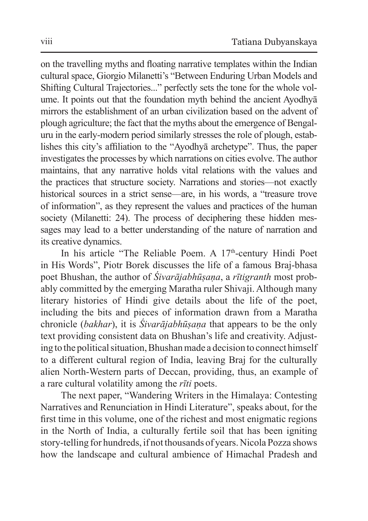on the travelling myths and floating narrative templates within the Indian cultural space, Giorgio Milanetti's "Between Enduring Urban Models and Shifting Cultural Trajectories..." perfectly sets the tone for the whole volume. It points out that the foundation myth behind the ancient Ayodhyā mirrors the establishment of an urban civilization based on the advent of plough agriculture; the fact that the myths about the emergence of Bengaluru in the early-modern period similarly stresses the role of plough, establishes this city's affiliation to the "Ayodhyā archetype". Thus, the paper investigates the processes by which narrations on cities evolve. The author maintains, that any narrative holds vital relations with the values and the practices that structure society. Narrations and stories—not exactly historical sources in a strict sense—are, in his words, a "treasure trove of information", as they represent the values and practices of the human society (Milanetti: 24). The process of deciphering these hidden messages may lead to a better understanding of the nature of narration and its creative dynamics.

In his article "The Reliable Poem. A  $17<sup>th</sup>$ -century Hindi Poet in His Words", Piotr Borek discusses the life of a famous Braj-bhasa poet Bhushan, the author of *Śivarājabhūṣaṇa*, a *rītigranth* most probably committed by the emerging Maratha ruler Shivaji. Although many literary histories of Hindi give details about the life of the poet, including the bits and pieces of information drawn from a Maratha chronicle (*bakhar*), it is *Śivarājabhūṣaṇa* that appears to be the only text providing consistent data on Bhushan's life and creativity. Adjusting to the political situation, Bhushan made a decision to connect himself to a different cultural region of India, leaving Braj for the culturally alien North-Western parts of Deccan, providing, thus, an example of a rare cultural volatility among the *rīti* poets.

The next paper, "Wandering Writers in the Himalaya: Contesting Narratives and Renunciation in Hindi Literature", speaks about, for the first time in this volume, one of the richest and most enigmatic regions in the North of India, a culturally fertile soil that has been igniting story-telling for hundreds, if not thousands of years. Nicola Pozza shows how the landscape and cultural ambience of Himachal Pradesh and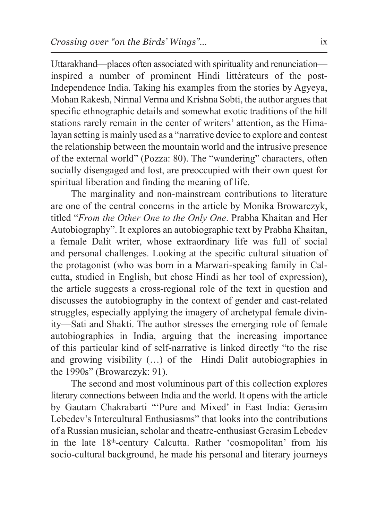Uttarakhand—places often associated with spirituality and renunciation inspired a number of prominent Hindi littérateurs of the post-Independence India. Taking his examples from the stories by Agyeya, Mohan Rakesh, Nirmal Verma and Krishna Sobti, the author argues that specific ethnographic details and somewhat exotic traditions of the hill stations rarely remain in the center of writers' attention, as the Himalayan setting is mainly used as a "narrative device to explore and contest the relationship between the mountain world and the intrusive presence of the external world" (Pozza: 80). The "wandering" characters, often socially disengaged and lost, are preoccupied with their own quest for spiritual liberation and finding the meaning of life.

The marginality and non-mainstream contributions to literature are one of the central concerns in the article by Monika Browarczyk, titled "*From the Other One to the Only One*. Prabha Khaitan and Her Autobiography". It explores an autobiographic text by Prabha Khaitan, a female Dalit writer, whose extraordinary life was full of social and personal challenges. Looking at the specific cultural situation of the protagonist (who was born in a Marwari-speaking family in Calcutta, studied in English, but chose Hindi as her tool of expression), the article suggests a cross-regional role of the text in question and discusses the autobiography in the context of gender and cast-related struggles, especially applying the imagery of archetypal female divinity—Sati and Shakti. The author stresses the emerging role of female autobiographies in India, arguing that the increasing importance of this particular kind of self-narrative is linked directly "to the rise and growing visibility (…) of the Hindi Dalit autobiographies in the 1990s" (Browarczyk: 91).

The second and most voluminous part of this collection explores literary connections between India and the world. It opens with the article by Gautam Chakrabarti "'Pure and Mixed' in East India: Gerasim Lebedev's Intercultural Enthusiasms" that looks into the contributions of a Russian musician, scholar and theatre-enthusiast Gerasim Lebedev in the late 18th-century Calcutta. Rather 'cosmopolitan' from his socio-cultural background, he made his personal and literary journeys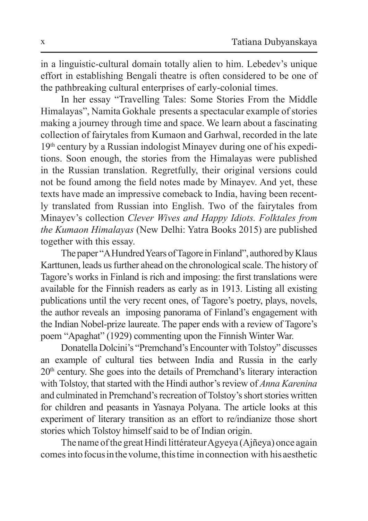in a linguistic-cultural domain totally alien to him. Lebedev's unique effort in establishing Bengali theatre is often considered to be one of the pathbreaking cultural enterprises of early-colonial times.

In her essay "Travelling Tales: Some Stories From the Middle Himalayas", Namita Gokhale presents a spectacular example of stories making a journey through time and space. We learn about a fascinating collection of fairytales from Kumaon and Garhwal, recorded in the late 19th century by a Russian indologist Minayev during one of his expeditions. Soon enough, the stories from the Himalayas were published in the Russian translation. Regretfully, their original versions could not be found among the field notes made by Minayev. And yet, these texts have made an impressive comeback to India, having been recently translated from Russian into English. Two of the fairytales from Minayev's collection *Clever Wives and Happy Idiots. Folktales from the Kumaon Himalayas* (New Delhi: Yatra Books 2015) are published together with this essay.

The paper "AHundred Years of Tagore inFinland", authored by Klaus Karttunen, leads us further ahead on the chronological scale. The history of Tagore's works in Finland is rich and imposing: the first translations were available for the Finnish readers as early as in 1913. Listing all existing publications until the very recent ones, of Tagore's poetry, plays, novels, the author reveals an imposing panorama of Finland's engagement with the Indian Nobel-prize laureate. The paper ends with a review of Tagore's poem "Apaghat" (1929) commenting upon the Finnish Winter War.

Donatella Dolcini's "Premchand's Encounter with Tolstoy" discusses an example of cultural ties between India and Russia in the early  $20<sup>th</sup>$  century. She goes into the details of Premchand's literary interaction with Tolstoy, that started with the Hindi author's review of *Anna Karenina* and culminated in Premchand's recreation of Tolstoy's short stories written for children and peasants in Yasnaya Polyana. The article looks at this experiment of literary transition as an effort to re/indianize those short stories which Tolstoy himself said to be of Indian origin.

The name of the great Hindi littérateur Agyeya (Ajñeya) once again comes into focus inthevolume, this time inconnection with his aesthetic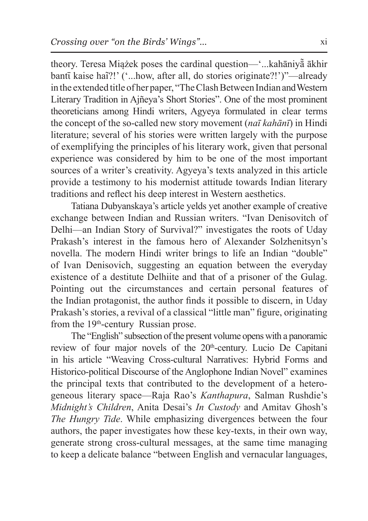theory. Teresa Miążek poses the cardinal question—'...kahāniyā͂ ākhir bantī kaise haĩ?!' ('...how, after all, do stories originate?!')"—already in the extended title of her paper, "TheClash Between Indian and Western Literary Tradition in Ajñeya's Short Stories". One of the most prominent theoreticians among Hindi writers, Agyeya formulated in clear terms the concept of the so-called new story movement (*naī kahānī*) in Hindi literature; several of his stories were written largely with the purpose of exemplifying the principles of his literary work, given that personal experience was considered by him to be one of the most important sources of a writer's creativity. Agyeya's texts analyzed in this article provide a testimony to his modernist attitude towards Indian literary traditions and reflect his deep interest in Western aesthetics.

Tatiana Dubyanskaya's article yelds yet another example of creative exchange between Indian and Russian writers. "Ivan Denisovitch of Delhi—an Indian Story of Survival?" investigates the roots of Uday Prakash's interest in the famous hero of Alexander Solzhenitsyn's novella. The modern Hindi writer brings to life an Indian "double" of Ivan Denisovich, suggesting an equation between the everyday existence of a destitute Delhiite and that of a prisoner of the Gulag. Pointing out the circumstances and certain personal features of the Indian protagonist, the author finds it possible to discern, in Uday Prakash's stories, a revival of a classical "little man" figure, originating from the 19<sup>th</sup>-century Russian prose.

The "English" subsection of the present volume opens with a panoramic review of four major novels of the 20<sup>th</sup>-century. Lucio De Capitani in his article "Weaving Cross-cultural Narratives: Hybrid Forms and Historico-political Discourse of the Anglophone Indian Novel" examines the principal texts that contributed to the development of a heterogeneous literary space—Raja Rao's *Kanthapura*, Salman Rushdie's *Midnight's Children*, Anita Desai's *In Custody* and Amitav Ghosh's *The Hungry Tide*. While emphasizing divergences between the four authors, the paper investigates how these key-texts, in their own way, generate strong cross-cultural messages, at the same time managing to keep a delicate balance "between English and vernacular languages,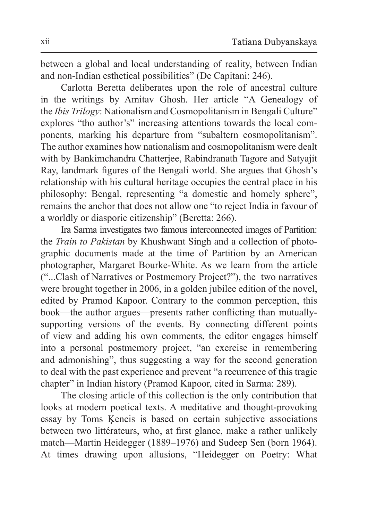between a global and local understanding of reality, between Indian and non-Indian esthetical possibilities" (De Capitani: 246).

Carlotta Beretta deliberates upon the role of ancestral culture in the writings by Amitav Ghosh. Her article "A Genealogy of the *Ibis Trilogy*: Nationalism and Cosmopolitanism in Bengali Culture" explores "tho author's" increasing attentions towards the local components, marking his departure from "subaltern cosmopolitanism". The author examines how nationalism and cosmopolitanism were dealt with by Bankimchandra Chatterjee, Rabindranath Tagore and Satyajit Ray, landmark figures of the Bengali world. She argues that Ghosh's relationship with his cultural heritage occupies the central place in his philosophy: Bengal, representing "a domestic and homely sphere", remains the anchor that does not allow one "to reject India in favour of a worldly or diasporic citizenship" (Beretta: 266).

Ira Sarma investigates two famous interconnected images of Partition: the *Train to Pakistan* by Khushwant Singh and a collection of photographic documents made at the time of Partition by an American photographer, Margaret Bourke-White. As we learn from the article ("...Clash of Narratives or Postmemory Project?"), the two narratives were brought together in 2006, in a golden jubilee edition of the novel, edited by Pramod Kapoor. Contrary to the common perception, this book—the author argues—presents rather conflicting than mutuallysupporting versions of the events. By connecting different points of view and adding his own comments, the editor engages himself into a personal postmemory project, "an exercise in remembering and admonishing", thus suggesting a way for the second generation to deal with the past experience and prevent "a recurrence of this tragic chapter" in Indian history (Pramod Kapoor, cited in Sarma: 289).

The closing article of this collection is the only contribution that looks at modern poetical texts. A meditative and thought-provoking essay by Toms Ķencis is based on certain subjective associations between two littérateurs, who, at first glance, make a rather unlikely match—Martin Heidegger (1889–1976) and Sudeep Sen (born 1964). At times drawing upon allusions, "Heidegger on Poetry: What